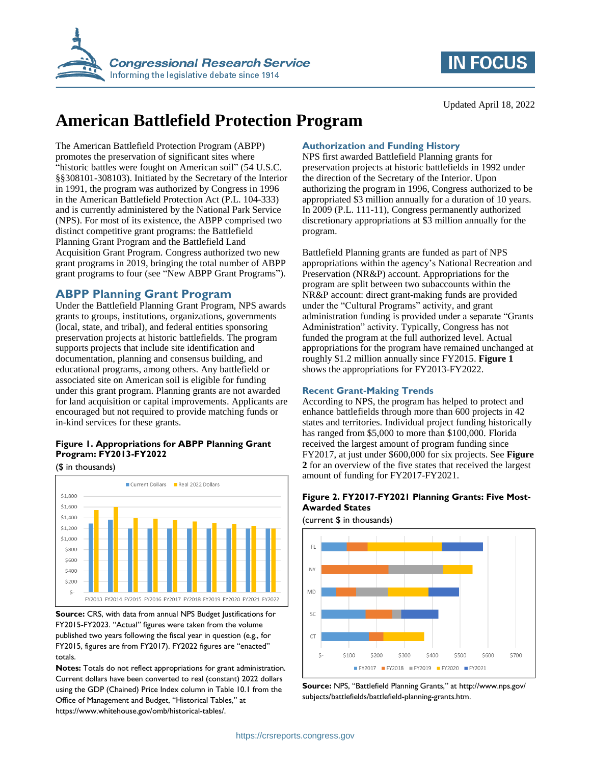

## **IN FOCUS**

Updated April 18, 2022

# **American Battlefield Protection Program**

The American Battlefield Protection Program (ABPP) promotes the preservation of significant sites where "historic battles were fought on American soil" (54 U.S.C. §§308101-308103). Initiated by the Secretary of the Interior in 1991, the program was authorized by Congress in 1996 in the American Battlefield Protection Act (P.L. 104-333) and is currently administered by the National Park Service (NPS). For most of its existence, the ABPP comprised two distinct competitive grant programs: the Battlefield Planning Grant Program and the Battlefield Land Acquisition Grant Program. Congress authorized two new grant programs in 2019, bringing the total number of ABPP grant programs to four (see ["New ABPP Grant Programs"](#page-1-0)).

## **ABPP Planning Grant Program**

Under the Battlefield Planning Grant Program, NPS awards grants to groups, institutions, organizations, governments (local, state, and tribal), and federal entities sponsoring preservation projects at historic battlefields. The program supports projects that include site identification and documentation, planning and consensus building, and educational programs, among others. Any battlefield or associated site on American soil is eligible for funding under this grant program. Planning grants are not awarded for land acquisition or capital improvements. Applicants are encouraged but not required to provide matching funds or in-kind services for these grants.

## <span id="page-0-0"></span>**Figure 1. Appropriations for ABPP Planning Grant Program: FY2013-FY2022**

(\$ in thousands)



**Source:** CRS, with data from annual NPS Budget Justifications for FY2015-FY2023. "Actual" figures were taken from the volume published two years following the fiscal year in question (e.g., for FY2015, figures are from FY2017). FY2022 figures are "enacted" totals.

**Notes:** Totals do not reflect appropriations for grant administration. Current dollars have been converted to real (constant) 2022 dollars using the GDP (Chained) Price Index column in Table 10.1 from the Office of Management and Budget, "Historical Tables," at https://www.whitehouse.gov/omb/historical-tables/.

### **Authorization and Funding History**

NPS first awarded Battlefield Planning grants for preservation projects at historic battlefields in 1992 under the direction of the Secretary of the Interior. Upon authorizing the program in 1996, Congress authorized to be appropriated \$3 million annually for a duration of 10 years. In 2009 (P.L. 111-11), Congress permanently authorized discretionary appropriations at \$3 million annually for the program.

Battlefield Planning grants are funded as part of NPS appropriations within the agency's National Recreation and Preservation (NR&P) account. Appropriations for the program are split between two subaccounts within the NR&P account: direct grant-making funds are provided under the "Cultural Programs" activity, and grant administration funding is provided under a separate "Grants Administration" activity. Typically, Congress has not funded the program at the full authorized level. Actual appropriations for the program have remained unchanged at roughly \$1.2 million annually since FY2015. **[Figure 1](#page-0-0)** shows the appropriations for FY2013-FY2022.

#### **Recent Grant-Making Trends**

According to NPS, the program has helped to protect and enhance battlefields through more than 600 projects in 42 states and territories. Individual project funding historically has ranged from \$5,000 to more than \$100,000. Florida received the largest amount of program funding since FY2017, at just under \$600,000 for six projects. See **[Figure](#page-0-1)  [2](#page-0-1)** for an overview of the five states that received the largest amount of funding for FY2017-FY2021.

### <span id="page-0-1"></span>**Figure 2. FY2017-FY2021 Planning Grants: Five Most-Awarded States**

(current \$ in thousands)



**Source:** NPS, "Battlefield Planning Grants," at http://www.nps.gov/ subjects/battlefields/battlefield-planning-grants.htm.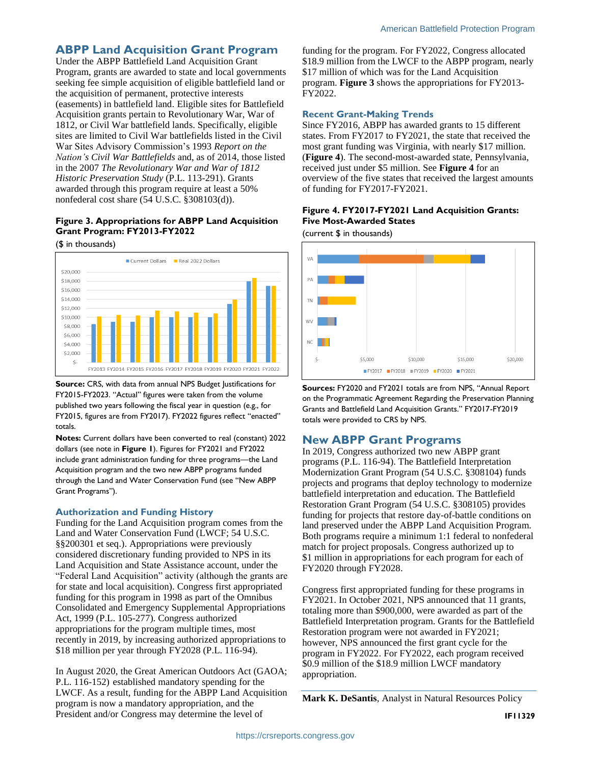## **ABPP Land Acquisition Grant Program**

Under the ABPP Battlefield Land Acquisition Grant Program, grants are awarded to state and local governments seeking fee simple acquisition of eligible battlefield land or the acquisition of permanent, protective interests (easements) in battlefield land. Eligible sites for Battlefield Acquisition grants pertain to Revolutionary War, War of 1812, or Civil War battlefield lands. Specifically, eligible sites are limited to Civil War battlefields listed in the Civil War Sites Advisory Commission's 1993 *Report on the Nation's Civil War Battlefields* and, as of 2014, those listed in the 2007 *The Revolutionary War and War of 1812 Historic Preservation Study* (P.L. 113-291). Grants awarded through this program require at least a 50% nonfederal cost share (54 U.S.C. §308103(d)).

## <span id="page-1-1"></span>**Figure 3. Appropriations for ABPP Land Acquisition Grant Program: FY2013-FY2022**

(\$ in thousands)



**Source:** CRS, with data from annual NPS Budget Justifications for FY2015-FY2023. "Actual" figures were taken from the volume published two years following the fiscal year in question (e.g., for FY2015, figures are from FY2017). FY2022 figures reflect "enacted" totals.

**Notes:** Current dollars have been converted to real (constant) 2022 dollars (see note in **[Figure 1](#page-0-0)**). Figures for FY2021 and FY2022 include grant administration funding for three programs—the Land Acquisition program and the two new ABPP programs funded through the Land and Water Conservation Fund (see "[New ABPP](#page-1-0)  [Grant Programs](#page-1-0)").

#### **Authorization and Funding History**

Funding for the Land Acquisition program comes from the Land and Water Conservation Fund (LWCF; 54 U.S.C. §§200301 et seq.). Appropriations were previously considered discretionary funding provided to NPS in its Land Acquisition and State Assistance account, under the "Federal Land Acquisition" activity (although the grants are for state and local acquisition). Congress first appropriated funding for this program in 1998 as part of the Omnibus Consolidated and Emergency Supplemental Appropriations Act, 1999 (P.L. 105-277). Congress authorized appropriations for the program multiple times, most recently in 2019, by increasing authorized appropriations to \$18 million per year through FY2028 (P.L. 116-94).

In August 2020, the Great American Outdoors Act (GAOA; P.L. 116-152) established mandatory spending for the LWCF. As a result, funding for the ABPP Land Acquisition program is now a mandatory appropriation, and the President and/or Congress may determine the level of

funding for the program. For FY2022, Congress allocated \$18.9 million from the LWCF to the ABPP program, nearly \$17 million of which was for the Land Acquisition program. **[Figure 3](#page-1-1)** shows the appropriations for FY2013- FY2022.

#### **Recent Grant-Making Trends**

Since FY2016, ABPP has awarded grants to 15 different states. From FY2017 to FY2021, the state that received the most grant funding was Virginia, with nearly \$17 million. (**[Figure 4](#page-1-2)**). The second-most-awarded state, Pennsylvania, received just under \$5 million. See **[Figure 4](#page-1-2)** for an overview of the five states that received the largest amounts of funding for FY2017-FY2021.

#### <span id="page-1-2"></span>**Figure 4. FY2017-FY2021 Land Acquisition Grants: Five Most-Awarded States**

(current \$ in thousands)



**Sources:** FY2020 and FY2021 totals are from NPS, "Annual Report on the Programmatic Agreement Regarding the Preservation Planning Grants and Battlefield Land Acquisition Grants." FY2017-FY2019 totals were provided to CRS by NPS.

## <span id="page-1-0"></span>**New ABPP Grant Programs**

In 2019, Congress authorized two new ABPP grant programs (P.L. 116-94). The Battlefield Interpretation Modernization Grant Program (54 U.S.C. §308104) funds projects and programs that deploy technology to modernize battlefield interpretation and education. The Battlefield Restoration Grant Program (54 U.S.C. §308105) provides funding for projects that restore day-of-battle conditions on land preserved under the ABPP Land Acquisition Program. Both programs require a minimum 1:1 federal to nonfederal match for project proposals. Congress authorized up to \$1 million in appropriations for each program for each of FY2020 through FY2028.

Congress first appropriated funding for these programs in FY2021. In October 2021, NPS announced that 11 grants, totaling more than \$900,000, were awarded as part of the Battlefield Interpretation program. Grants for the Battlefield Restoration program were not awarded in FY2021; however, NPS announced the first grant cycle for the program in FY2022. For FY2022, each program received \$0.9 million of the \$18.9 million LWCF mandatory appropriation.

**Mark K. DeSantis**, Analyst in Natural Resources Policy